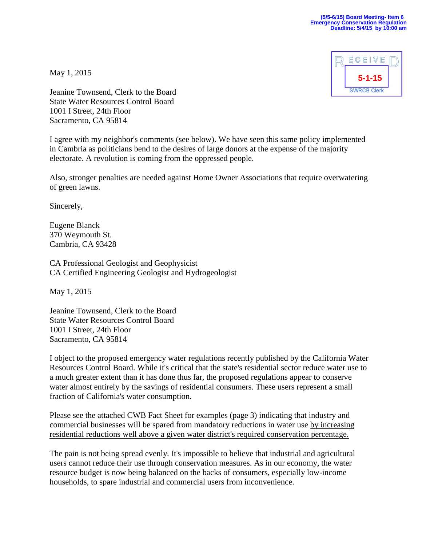

May 1, 2015

Jeanine Townsend, Clerk to the Board State Water Resources Control Board 1001 I Street, 24th Floor Sacramento, CA 95814

I agree with my neighbor's comments (see below). We have seen this same policy implemented in Cambria as politicians bend to the desires of large donors at the expense of the majority electorate. A revolution is coming from the oppressed people.

Also, stronger penalties are needed against Home Owner Associations that require overwatering of green lawns.

Sincerely,

Eugene Blanck 370 Weymouth St. Cambria, CA 93428

CA Professional Geologist and Geophysicist CA Certified Engineering Geologist and Hydrogeologist

May 1, 2015

Jeanine Townsend, Clerk to the Board State Water Resources Control Board 1001 I Street, 24th Floor Sacramento, CA 95814

I object to the proposed emergency water regulations recently published by the California Water Resources Control Board. While it's critical that the state's residential sector reduce water use to a much greater extent than it has done thus far, the proposed regulations appear to conserve water almost entirely by the savings of residential consumers. These users represent a small fraction of California's water consumption.

Please see the attached CWB Fact Sheet for examples (page 3) indicating that industry and commercial businesses will be spared from mandatory reductions in water use by increasing residential reductions well above a given water district's required conservation percentage.

The pain is not being spread evenly. It's impossible to believe that industrial and agricultural users cannot reduce their use through conservation measures. As in our economy, the water resource budget is now being balanced on the backs of consumers, especially low-income households, to spare industrial and commercial users from inconvenience.